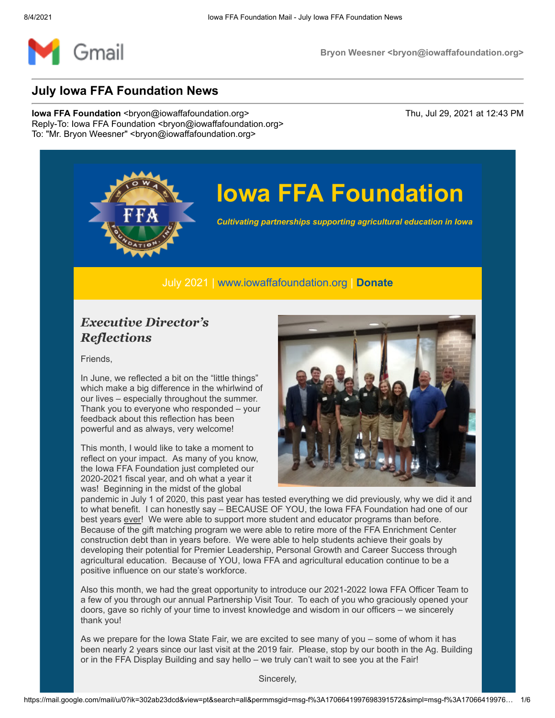

## **Iowa FFA Foundation**

*Cultivating partnerships supporting agricultural education in Iowa*

July 2021 | [www.iowaffafoundation.org](http://www.iowaffafoundation.org/) | **[Donate](https://eml-pusa01.app.blackbaud.net/intv2/j/4459B2E0-EEAC-44FC-807B-AEDCD0299E18/r/4459B2E0-EEAC-44FC-807B-AEDCD0299E18_cb5e7dde-fed3-43e0-9ed5-301c7af4cc38/l/0271F4D7-F5BB-4333-B64D-398D5233AEA0/c)**

### *Executive Director's Reflections*

Friends,

In June, we reflected a bit on the "little things" which make a big difference in the whirlwind of our lives – especially throughout the summer. Thank you to everyone who responded – your feedback about this reflection has been powerful and as always, very welcome!

This month, I would like to take a moment to reflect on your impact. As many of you know, the Iowa FFA Foundation just completed our 2020-2021 fiscal year, and oh what a year it was! Beginning in the midst of the global



pandemic in July 1 of 2020, this past year has tested everything we did previously, why we did it and to what benefit. I can honestly say – BECAUSE OF YOU, the Iowa FFA Foundation had one of our best years ever! We were able to support more student and educator programs than before. Because of the gift matching program we were able to retire more of the FFA Enrichment Center construction debt than in years before. We were able to help students achieve their goals by developing their potential for Premier Leadership, Personal Growth and Career Success through agricultural education. Because of YOU, Iowa FFA and agricultural education continue to be a positive influence on our state's workforce.

Also this month, we had the great opportunity to introduce our 2021-2022 Iowa FFA Officer Team to a few of you through our annual Partnership Visit Tour. To each of you who graciously opened your doors, gave so richly of your time to invest knowledge and wisdom in our officers – we sincerely thank you!

As we prepare for the Iowa State Fair, we are excited to see many of you – some of whom it has been nearly 2 years since our last visit at the 2019 fair. Please, stop by our booth in the Ag. Building or in the FFA Display Building and say hello – we truly can't wait to see you at the Fair!

Sincerely,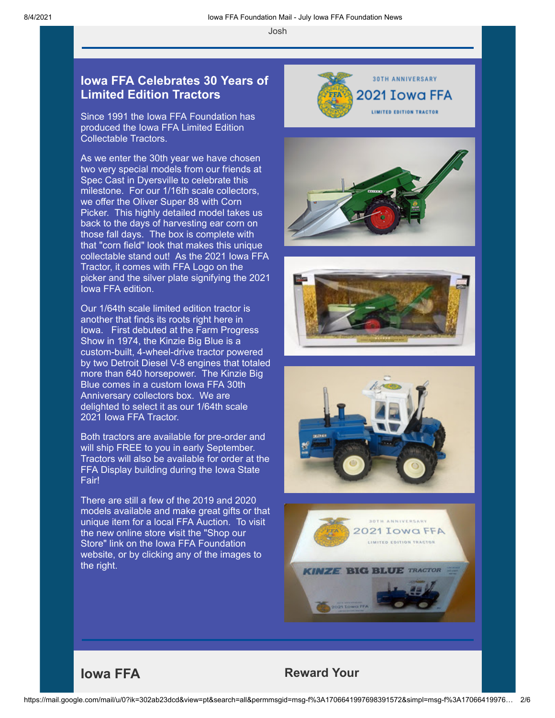#### **Iowa FFA Celebrates 30 Years of Limited Edition Tractors**

Since 1991 the Iowa FFA Foundation has produced the Iowa FFA Limited Edition Collectable Tractors.

As we enter the 30th year we have chosen two very special models from our friends at Spec Cast in Dyersville to celebrate this milestone. For our 1/16th scale collectors, we offer the Oliver Super 88 with Corn Picker. This highly detailed model takes us back to the days of harvesting ear corn on those fall days. The box is complete with that "corn field" look that makes this unique collectable stand out! As the 2021 Iowa FFA Tractor, it comes with FFA Logo on the picker and the silver plate signifying the 2021 Iowa FFA edition.

Our 1/64th scale limited edition tractor is another that finds its roots right here in Iowa. First debuted at the Farm Progress Show in 1974, the Kinzie Big Blue is a custom-built, 4-wheel-drive tractor powered by two Detroit Diesel V-8 engines that totaled more than 640 horsepower. The Kinzie Big Blue comes in a custom Iowa FFA 30th Anniversary collectors box. We are delighted to select it as our 1/64th scale 2021 Iowa FFA Tractor.

Both tractors are available for pre-order and will ship FREE to you in early September. Tractors will also be available for order at the FFA Display building during the Iowa State **Fair!** 

There are still a few of the 2019 and 2020 models available and make great gifts or that unique item for a local FFA Auction. To visit the new online store *v*isit the "Shop our Store" link on the Iowa FFA Foundation website, or by clicking any of the images to the right.

Josh



## 2021 Towa FFA

LIMITED EDITION TRACTOR









#### **Iowa FFA Reward Your**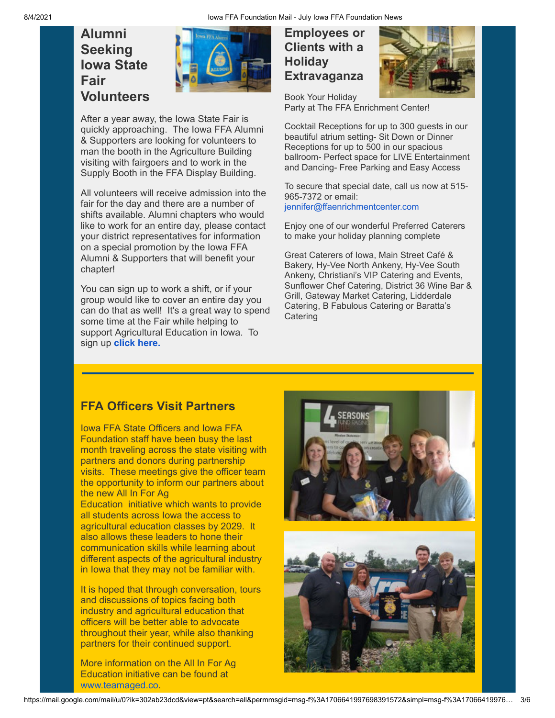## **Alumni Seeking Iowa State Fair Volunteers**



After a year away, the Iowa State Fair is quickly approaching. The Iowa FFA Alumni & Supporters are looking for volunteers to man the booth in the Agriculture Building visiting with fairgoers and to work in the Supply Booth in the FFA Display Building.

All volunteers will receive admission into the fair for the day and there are a number of shifts available. Alumni chapters who would like to work for an entire day, please contact your district representatives for information on a special promotion by the Iowa FFA Alumni & Supporters that will benefit your chapter!

You can sign up to work a shift, or if your group would like to cover an entire day you can do that as well! It's a great way to spend some time at the Fair while helping to support Agricultural Education in Iowa. To sign up **[click here.](https://eml-pusa01.app.blackbaud.net/intv2/j/4459B2E0-EEAC-44FC-807B-AEDCD0299E18/r/4459B2E0-EEAC-44FC-807B-AEDCD0299E18_cb5e7dde-fed3-43e0-9ed5-301c7af4cc38/l/5F8577EF-DF2F-47B6-9F77-DDE032240977/c)**

#### **Employees or Clients with a Holiday Extravaganza**



Book Your Holiday Party at The FFA Enrichment Center!

Cocktail Receptions for up to 300 guests in our beautiful atrium setting- Sit Down or Dinner Receptions for up to 500 in our spacious ballroom- Perfect space for LIVE Entertainment and Dancing- Free Parking and Easy Access

To secure that special date, call us now at 515- 965-7372 or email: [jennifer@ffaenrichmentcenter.com](mailto:jennifer@ffaenrichmentcenter.com)

Enjoy one of our wonderful Preferred Caterers to make your holiday planning complete

Great Caterers of Iowa, Main Street Café & Bakery, Hy-Vee North Ankeny, Hy-Vee South Ankeny, Christiani's VIP Catering and Events, Sunflower Chef Catering, District 36 Wine Bar & Grill, Gateway Market Catering, Lidderdale Catering, B Fabulous Catering or Baratta's **Catering** 

### **FFA Officers Visit Partners**

Iowa FFA State Officers and Iowa FFA Foundation staff have been busy the last month traveling across the state visiting with partners and donors during partnership visits. These meetings give the officer team the opportunity to inform our partners about the new All In For Ag

Education initiative which wants to provide all students across Iowa the access to agricultural education classes by 2029. It also allows these leaders to hone their communication skills while learning about different aspects of the agricultural industry in Iowa that they may not be familiar with.

It is hoped that through conversation, tours and discussions of topics facing both industry and agricultural education that officers will be better able to advocate throughout their year, while also thanking partners for their continued support.

More information on the All In For Ag Education initiative can be found at [www.teamaged.co](http://www.teamaged.co/).

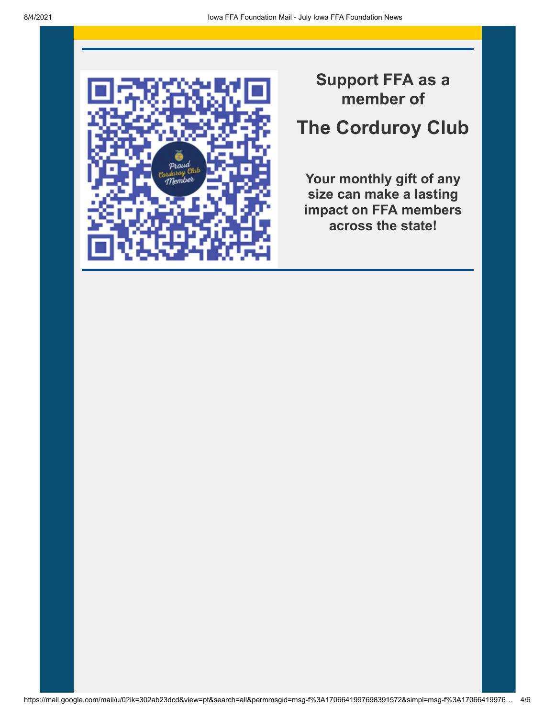

## **Support FFA as a member of**

## **The Corduroy Club**

**Your monthly gift of any size can make a lasting impact on FFA members across the state!**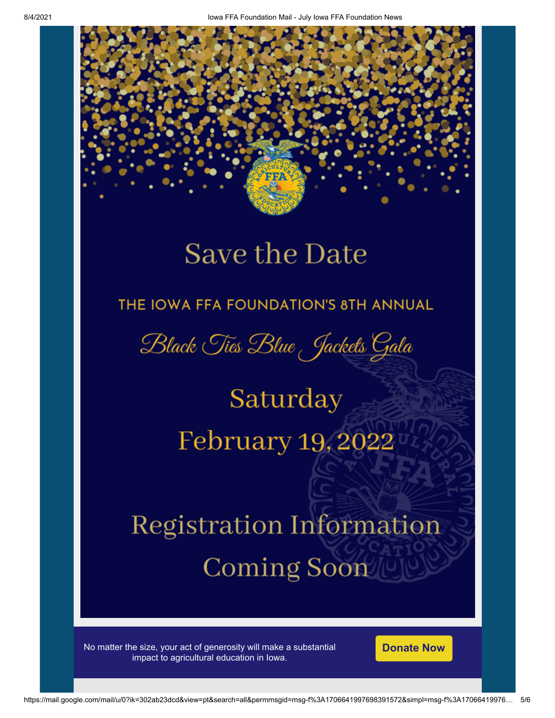## **Save the Date**

## THE IOWA FFA FOUNDATION'S 8TH ANNUAL

Black Ties Blue Jackets Gala

# Saturday February 19, 2022

# **Registration Information** Coming Soon

No matter the size, your act of generosity will make a substantial impact to agricultural education in Iowa.

**[Donate Now](https://eml-pusa01.app.blackbaud.net/intv2/j/4459B2E0-EEAC-44FC-807B-AEDCD0299E18/r/4459B2E0-EEAC-44FC-807B-AEDCD0299E18_cb5e7dde-fed3-43e0-9ed5-301c7af4cc38/l/712FE9BA-941F-4FAB-919B-7493CD25BC9B/c)**